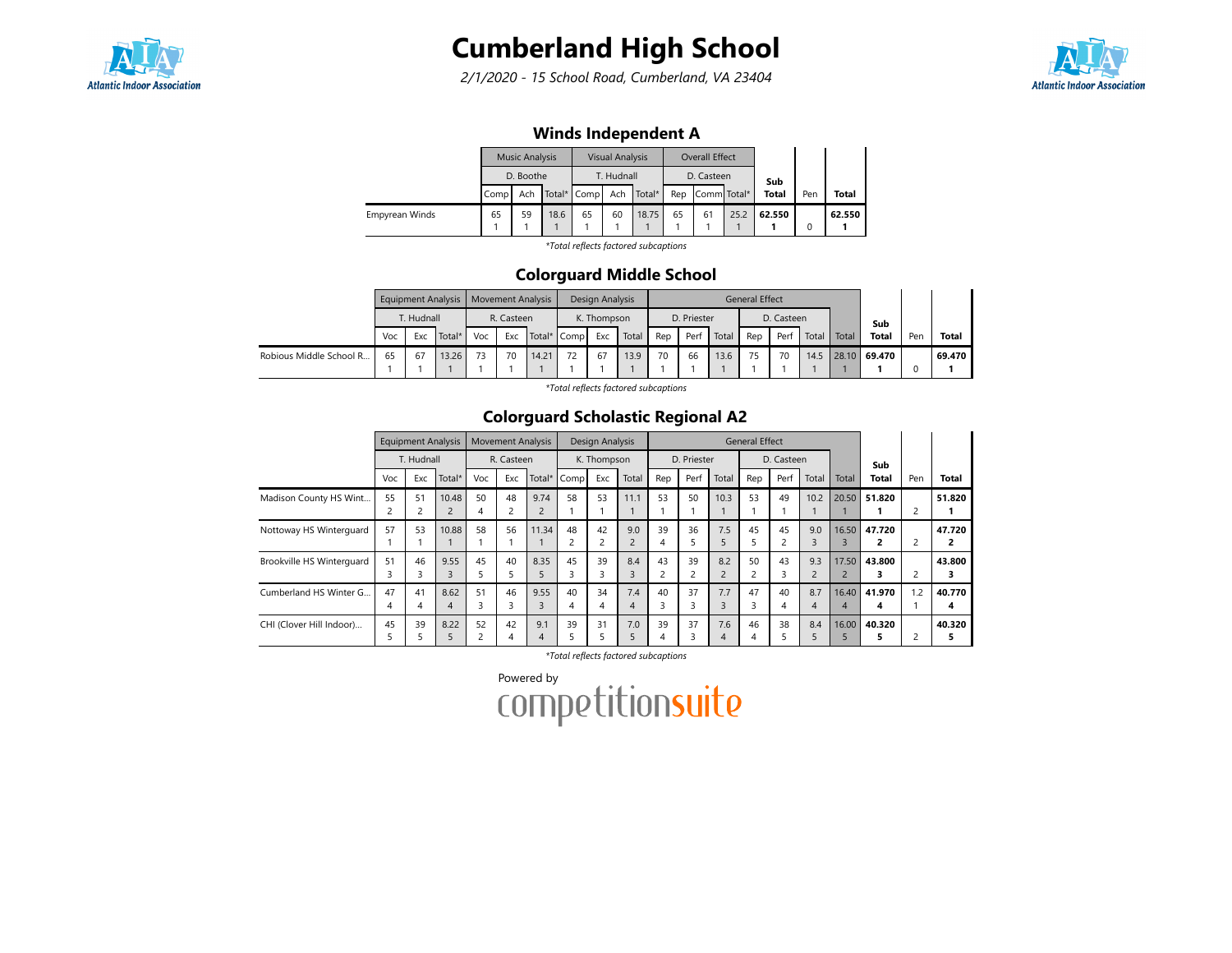

# Cumberland High School

2/1/2020 - 15 School Road, Cumberland, VA 23404



## Winds Independent A

|                |      | <b>Music Analysis</b> |      |             | <b>Visual Analysis</b> |        |    | <b>Overall Effect</b> |      |              |     |              |
|----------------|------|-----------------------|------|-------------|------------------------|--------|----|-----------------------|------|--------------|-----|--------------|
|                |      | D. Boothe             |      |             | T. Hudnall             |        |    | D. Casteen            |      | Sub          |     |              |
|                | Comp | Ach                   |      | Total* Comp | Ach                    | Total* |    | Rep Comm Total*       |      | <b>Total</b> | Pen | <b>Total</b> |
| Empyrean Winds | 65   | 59                    | 18.6 | 65          | 60                     | 18.75  | 65 | 61                    | 25.2 | 62.550       |     | 62.550       |
|                |      |                       |      |             |                        |        |    |                       |      |              |     |              |

\*Total reflects factored subcaptions

#### Colorguard Middle School

|                         |     |            | Equipment Analysis   Movement Analysis |     |            |             |  | Design Analysis |       |     |             |       | <b>General Effect</b> |            |       |       |              |     |              |
|-------------------------|-----|------------|----------------------------------------|-----|------------|-------------|--|-----------------|-------|-----|-------------|-------|-----------------------|------------|-------|-------|--------------|-----|--------------|
|                         |     | T. Hudnall |                                        |     | R. Casteen |             |  | K. Thompson     |       |     | D. Priester |       |                       | D. Casteen |       |       | Sub          |     |              |
|                         | Voc | Exc        | Total*                                 | Voc | Exc        | Total* Comp |  | Exc             | Total | Rep | Perf        | Total | Rep                   | Perf       | Total | Total | <b>Total</b> | Pen | <b>Total</b> |
| Robious Middle School R | 65  | 67         | 13.26                                  | 73  | 70         | 14.21       |  | 67              | 13.9  | 70  | 66          | 13.6  | 75                    | 70         | 14.5  |       | 28.10 69.470 |     | 69.470       |
|                         |     |            |                                        |     |            |             |  |                 |       |     |             |       |                       |            |       |       |              |     |              |

\*Total reflects factored subcaptions

### Colorguard Scholastic Regional A2

|                           |                      | <b>Equipment Analysis</b> |                         |                     | <b>Movement Analysis</b> |          |      | Design Analysis |                       |         |             |          | <b>General Effect</b> |            |                       |            |              |     |             |
|---------------------------|----------------------|---------------------------|-------------------------|---------------------|--------------------------|----------|------|-----------------|-----------------------|---------|-------------|----------|-----------------------|------------|-----------------------|------------|--------------|-----|-------------|
|                           |                      | T. Hudnall                |                         |                     | R. Casteen               |          |      | K. Thompson     |                       |         | D. Priester |          |                       | D. Casteen |                       |            | Sub          |     |             |
|                           | Voc                  | Exc                       | Total*                  | Voc                 | Exc                      | Total*   | Comp | Exc             | Total                 | Rep     | Perf        | Total    | Rep                   | Perf       | Total                 | Total      | <b>Total</b> | Pen | Total       |
| Madison County HS Wint    | 55<br>$\overline{c}$ | 51                        | 10.48<br>$\overline{2}$ | 50<br>4             | 48<br>2                  | 9.74     | 58   | 53              | 11.1                  | 53      | 50          | 10.3     | 53                    | 49         | 10.2                  | 20.50      | 51.820       |     | 51.820      |
| Nottoway HS Winterguard   | 57                   | 53                        | 10.88                   | 58                  | 56                       | 11.34    | 48   | 42<br>2         | 9.0<br>$\overline{2}$ | 39<br>4 | 36          | 7.5      | 45<br>ב               | 45         | 9.0<br>3              | 16.50      | 47.720       |     | 47.720<br>2 |
| Brookville HS Winterquard | 51<br>3              | 46                        | 9.55                    | 45<br>5             | 40                       | 8.35     | 45   | 39<br>з         | 8.4                   | 43<br>2 | 39          | 8.2      | 50                    | 43<br>3    | 9.3<br>$\overline{c}$ | 17.50      | 43.800<br>3  |     | 43.800<br>з |
| Cumberland HS Winter G    | 47<br>4              | 41                        | 8.62<br>4               | 51<br>3             | 46<br>3                  | 9.55     | 40   | 34<br>4         | 7.4<br>4              | 40<br>3 | 37          | 7.7      | 47<br>3               | 40         | 8.7<br>4              | 16.40<br>4 | 41.970       | 1.2 | 40.770<br>4 |
| CHI (Clover Hill Indoor)  | 45                   | 39                        | 8.22                    | 52<br>$\mathcal{P}$ | 42<br>4                  | 9.1<br>4 | 39   | 31              | 7.0                   | 39<br>4 | 37          | 7.6<br>4 | 46<br>4               | 38         | 8.4                   | 16.00      | 40.320       |     | 40.320<br>5 |

\*Total reflects factored subcaptions

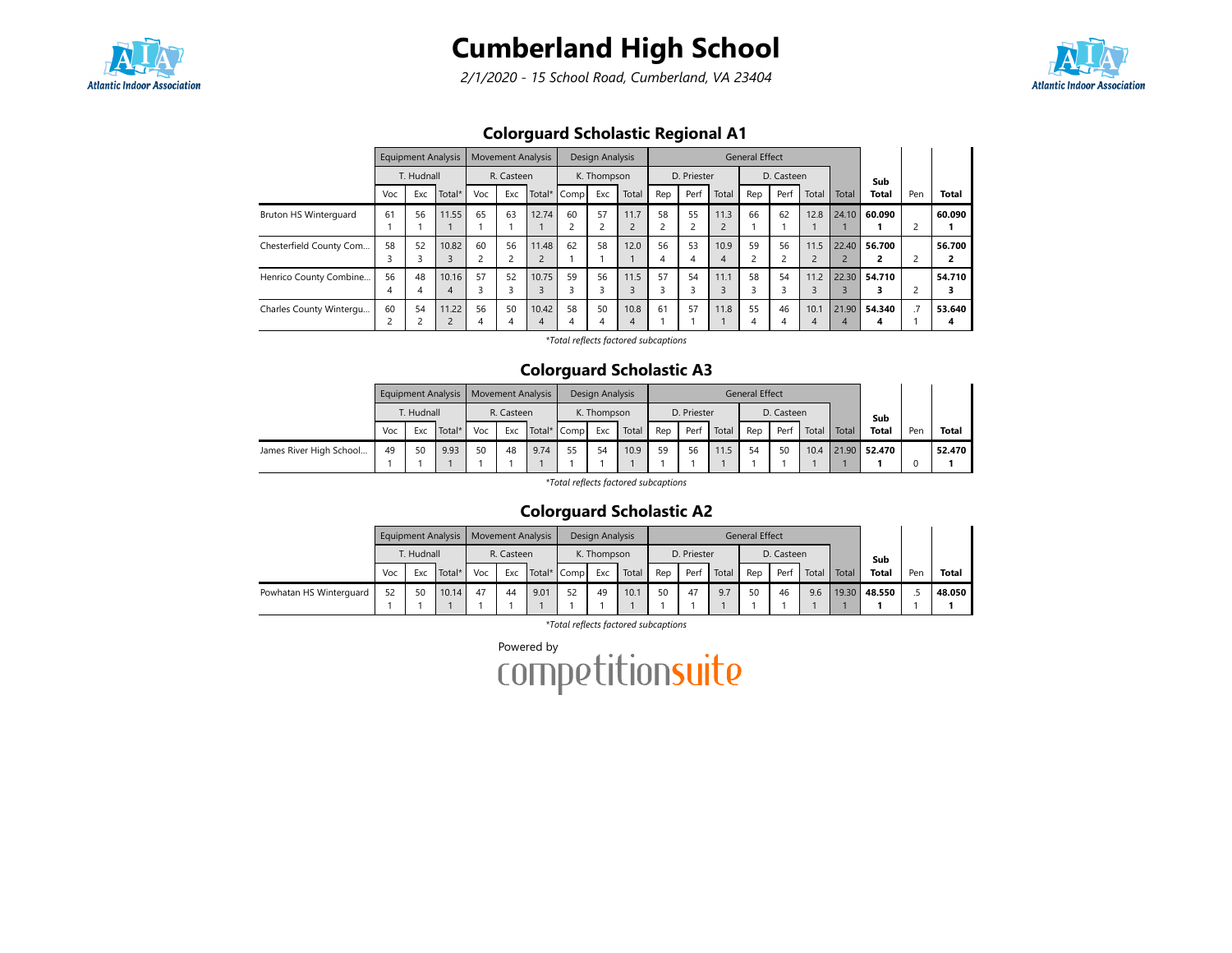

# Cumberland High School

2/1/2020 - 15 School Road, Cumberland, VA 23404



## Colorguard Scholastic Regional A1

|                              |         | <b>Equipment Analysis</b> |                                   |         |            | <b>Movement Analysis</b> |         | Design Analysis |           |                      |             |       | <b>General Effect</b> |            |           |            |              |     |              |
|------------------------------|---------|---------------------------|-----------------------------------|---------|------------|--------------------------|---------|-----------------|-----------|----------------------|-------------|-------|-----------------------|------------|-----------|------------|--------------|-----|--------------|
|                              |         | T. Hudnall                |                                   |         | R. Casteen |                          |         | K. Thompson     |           |                      | D. Priester |       |                       | D. Casteen |           |            | Sub          |     |              |
|                              | Voc     | Exc                       | Total*                            | Voc     | Exc        | Total*                   | Comp    | Exc             | Total     | Rep                  | Perf        | Total | Rep                   | Perf       | Total     | Total      | <b>Total</b> | Pen | <b>Total</b> |
| <b>Bruton HS Winterguard</b> | 61      | 56                        | 11.55                             | 65      | 63         | 12.74                    | 60      | 57              | 11.7      | 58<br>$\overline{c}$ | 55          | 11.3  | 66                    | 62         | 12.8      | 24.10      | 60.090       |     | 60.090       |
| Chesterfield County Com      | 58<br>э | 52                        | 10.82                             | 60      | 56         | 11.48                    | 62      | 58              | 12.0      | 56<br>4              | 53<br>4     | 10.9  | 59<br>2               | 56         | 11.5      | 22.40      | 56.700       |     | 56.700<br>2  |
| Henrico County Combine       | 56<br>4 | 48                        | 10.16<br>$\overline{4}$           | 57      | 52         | 10.75                    | 59      | 56<br>3         | 11.5      | 57<br>3              | 54          | 11.1  | 58<br>3               | 54         | 11.2      | 22.30      | 54.710       |     | 54.710<br>3  |
| Charles County Wintergu      | 60      | 54                        | 11.22<br>$\overline{\phantom{0}}$ | 56<br>4 | 50<br>4    | 10.42<br>4               | 58<br>4 | 50<br>4         | 10.8<br>4 | 61                   | 57          | 11.8  | 55<br>4               | 46         | 10.1<br>4 | 21.90<br>4 | 54.340<br>4  |     | 53.640<br>4  |

\*Total reflects factored subcaptions

#### Colorguard Scholastic A3

|                         |     | <b>Equipment Analysis</b> |        |     | <b>Movement Analysis</b> |      |             | Design Analysis |       |     |             |       | General Effect |            |       |       |                   |     |              |
|-------------------------|-----|---------------------------|--------|-----|--------------------------|------|-------------|-----------------|-------|-----|-------------|-------|----------------|------------|-------|-------|-------------------|-----|--------------|
|                         |     | T. Hudnall                |        |     | R. Casteen               |      |             | K. Thompson     |       |     | D. Priester |       |                | D. Casteen |       |       | Sub               |     |              |
|                         | Voc | Exc                       | Total* | Voc | Exc                      |      | Total* Comp | Exc             | Total | Rep | Perf        | Total | Rep            | Perf       | Total | Total | <b>Total</b>      | Pen | <b>Total</b> |
| James River High School | 49  | 50                        | 9.93   | 50  | 48                       | 9.74 | 55          | 54              | 10.9  | 59  | 56          | 11.5  | 54             | 50         |       |       | 10.4 21.90 52.470 |     | 52.470       |

\*Total reflects factored subcaptions

# Colorguard Scholastic A2

|                         |     |            | <b>Equipment Analysis</b> |     |            | <b>Movement Analysis</b> |             | Design Analysis |       |     |             |       | <b>General Effect</b> |            |       |       |              |     |              |
|-------------------------|-----|------------|---------------------------|-----|------------|--------------------------|-------------|-----------------|-------|-----|-------------|-------|-----------------------|------------|-------|-------|--------------|-----|--------------|
|                         |     | T. Hudnall |                           |     | R. Casteen |                          |             | K. Thompson     |       |     | D. Priester |       |                       | D. Casteen |       |       | Sub          |     |              |
|                         | Voc | Exc        | Total*                    | Voc | Exc        |                          | Total* Comp | Exc             | Total | Rep | Perf        | Total | Rep                   | Perf       | Total | Total | <b>Total</b> | Pen | <b>Total</b> |
| Powhatan HS Winterguard | 52  | 50         | 10.14                     | 47  | 44         | 9.01                     | 52          | 49              | 10.1  | 50  | 47          | 9.7   | 50                    | 46         | 9.6   |       | 19.30 48.550 |     | 48.050       |
|                         |     |            |                           |     |            |                          |             |                 |       |     |             |       |                       |            |       |       |              |     |              |

\*Total reflects factored subcaptions